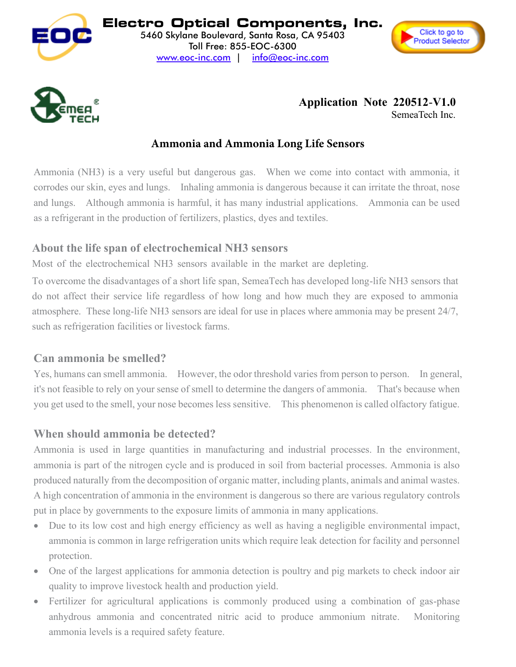





#### $\sum_{\text{SIPER}}$   $\epsilon$ alkaline battery, the depleting NH3 sensor consumes the chemicals sealed inside the sensor when exposed SemeaTech Inc.

#### Ammonia and Ammonia Long Life Sensors **Ammonia and Ammonia Sensors**

Ammonia (NH3) is a very useful but dangerous gas. When we come into contact with ammonia, it corrodes our skin, eyes and lungs. Inhaling ammonia is dangerous because it can irritate the throat, nose and lungs. Although ammonia is harmful, it has many industrial applications. Ammonia can be used as a refrigerant in the production of fertilizers, plastics, dyes and textiles. and lungs. Although ammonia is harmful, it has many industrial applications. Ammonia can be used

# About the life span of electrochemical NH3 sensors

Most of the electrochemical NH3 sensors available in the market are depleting.

To overcome the disadvantages of a short life span, SemeaTech has developed long-life NH3 sensors that do not affect their service life regardless of how long and how much they are exposed to ammonia such as refrigeration facilities or livestock farms. atmosphere. These long-life NH3 sensors are ideal for use in places where ammonia may be present 24/7, To evereens the disedvanteres of a short life snon, Semee Took has developed long life NU2 sensors that it is not offect their corrise life reception of how leng and how much they are expected to ammonia. you get used to the small, you get used to the small, you also see the sensitive phenomenon is called the called of  $\frac{1}{17}$ **When should ammonia be detected?** 

## Can ammonia be smelled?

Yes, humans can smell ammonia. However, the odor threshold varies from person to person. In general, it's not feasible to rely on your sense of smell to determine the dangers of ammonia. That's because when you get used to the smell, your nose becomes less sensitive. This phenomenon is called olfactory fatigue. a cycle is part of the nitrogen cycle and is produced in some bacterial produced in social produced in social produced in social produced in social produced in social produced in social produced in social produced in the produced naturally from the decomposition of organic matter, including plants, animals and animal wastes. A high concentration of a high concentration of an international in the environment is defined as the environment in the environment is defined as a set of a set of a set of a set of a set of a set of a set of a set of a s put governments to the exposure lines of a contract the exposure limit production is valid to the process of a

#### When should ammonia be detected? **When should ammonia be detected?**  $\overline{X}$

Ammonia is used in large quantities in manufacturing and industrial processes. In the environment, ammonia is part of the nitrogen cycle and is produced in soil from bacterial processes. Ammonia is also produced naturally from the decomposition of organic matter, including plants, animals and animal wastes. A high concentration of ammonia in the environment is dangerous so there are various regulatory controls put in place by governments to the exposure limits of ammonia in many applications. ammonia is common in large refrigeration units which require leak detection for facility and personnel personnel personnel personnel personnel personnel personnel personnel personnel personnel personnel personnel personne protection. while the largest application of the largest applications in position cavetries provided in minimum is who quality to improve lives to improve the complete order of the production  $\mathcal{A}$ Fertilizer concentration of animolity in the constructions is completed us to the complete regarded produced

- Due to its low cost and high energy efficiency as well as having a negligible environmental impact, **Protection.** ammonia is common in large refrigeration units which require leak detection for facility and personnel protection an hydrous and concentrated not concentrated nitrice and concentrated in the produce ammonium nitrate. Monitori am to he followed safety factors in the safety feature.
- One of the largest applications for ammonia detection is poultry and pig markets to check indoor air quality to improve livestock health and production yield. procession.<br>
and safely developed and safely developed and safely developed and safely developed and safely developed and sa Via et us inspect approximations for animitative accounting powerful and providing the comment interest with
- anhydrous ammonia and concentrated nitric acid to produce ammonium nitrate. Monitoring ammonia levels is a required safety feature. • Fertilizer for agricultural applications is commonly produced using a combination of gas-phase  $\frac{1}{2}$ examples can be seen below in Table 1. amiyaroas annifonia and concentrated in An ammonia detector is generally composed of an electronic circuit and an ammonia (NH3) sensor. The composition of an ammonia (NH3) sensor. The composition of an ammonia (NH3) sensor. The composition of an ammonia (NH3) se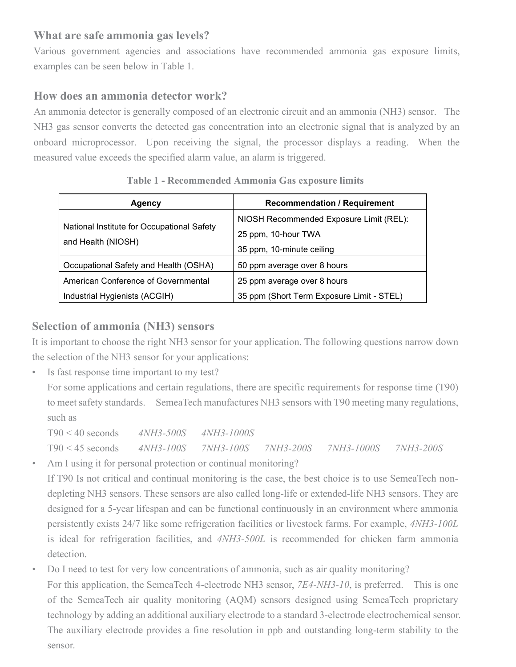#### **What are safe ammonia gas levels?**

Various government agencies and associations have recommended ammonia gas exposure limits, examples can be seen below in Table 1.

#### **How does an ammonia detector work?**

An ammonia detector is generally composed of an electronic circuit and an ammonia (NH3) sensor. The NH3 gas sensor converts the detected gas concentration into an electronic signal that is analyzed by an onboard microprocessor. Upon receiving the signal, the processor displays a reading. When the measured value exceeds the specified alarm value, an alarm is triggered.

| Agency                                     | <b>Recommendation / Requirement</b>       |  |
|--------------------------------------------|-------------------------------------------|--|
|                                            | NIOSH Recommended Exposure Limit (REL):   |  |
| National Institute for Occupational Safety | 25 ppm, 10-hour TWA                       |  |
| and Health (NIOSH)                         | 35 ppm, 10-minute ceiling                 |  |
| Occupational Safety and Health (OSHA)      | 50 ppm average over 8 hours               |  |
| American Conference of Governmental        | 25 ppm average over 8 hours               |  |
| Industrial Hygienists (ACGIH)              | 35 ppm (Short Term Exposure Limit - STEL) |  |

### **Table 1 - Recommended Ammonia Gas exposure limits**

#### **Selection of ammonia (NH3) sensors**

It is important to choose the right NH3 sensor for your application. The following questions narrow down the selection of the NH3 sensor for your applications:

Is fast response time important to my test?

For some applications and certain regulations, there are specific requirements for response time (T90) to meet safety standards. SemeaTech manufactures NH3 sensors with T90 meeting many regulations, such as

T90 < 40 seconds *4NH3-500S 4NH3-1000S* T90 < 45 seconds *4NH3-100S 7NH3-100S 7NH3-200S 7NH3-1000S 7NH3-200S*

- Am I using it for personal protection or continual monitoring? If T90 Is not critical and continual monitoring is the case, the best choice is to use SemeaTech nondepleting NH3 sensors. These sensors are also called long-life or extended-life NH3 sensors. They are designed for a 5-year lifespan and can be functional continuously in an environment where ammonia persistently exists 24/7 like some refrigeration facilities or livestock farms. For example, *4NH3-100L* is ideal for refrigeration facilities, and *4NH3-500L* is recommended for chicken farm ammonia detection.
- Do I need to test for very low concentrations of ammonia, such as air quality monitoring? For this application, the SemeaTech 4-electrode NH3 sensor, *7E4-NH3-10*, is preferred. This is one of the SemeaTech air quality monitoring (AQM) sensors designed using SemeaTech proprietary technology by adding an additional auxiliary electrode to a standard 3-electrode electrochemical sensor. The auxiliary electrode provides a fine resolution in ppb and outstanding long-term stability to the sensor.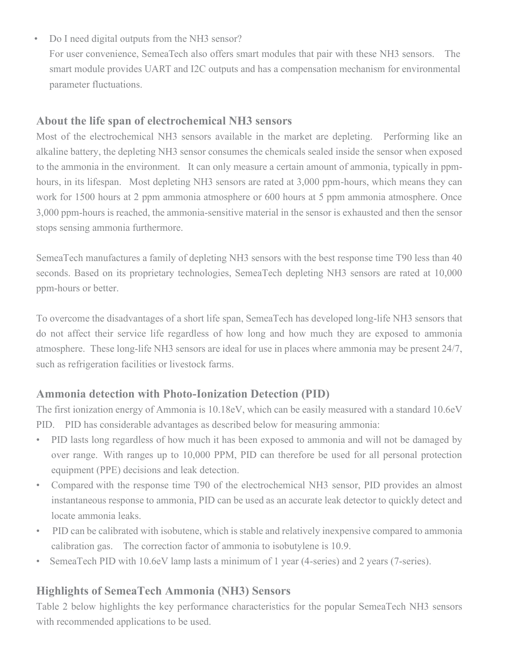- Do I need digital outputs from the NH3 sensor?
	- For user convenience, SemeaTech also offers smart modules that pair with these NH3 sensors. The smart module provides UART and I2C outputs and has a compensation mechanism for environmental parameter fluctuations.

### About the life span of electrochemical NH3 sensors

Most of the electrochemical NH3 sensors available in the market are depleting. Performing like an alkaline battery, the depleting NH3 sensor consumes the chemicals sealed inside the sensor when exposed to the ammonia in the environment. It can only measure a certain amount of ammonia, typically in ppmhours, in its lifespan. Most depleting NH3 sensors are rated at 3,000 ppm-hours, which means they can work for 1500 hours at 2 ppm ammonia atmosphere or 600 hours at 5 ppm ammonia atmosphere. Once 3,000 ppm-hours is reached, the ammonia-sensitive material in the sensor is exhausted and then the sensor stops sensing ammonia furthermore.

SemeaTech manufactures a family of depleting NH3 sensors with the best response time T90 less than 40 seconds. Based on its proprietary technologies, SemeaTech depleting NH3 sensors are rated at 10,000 ppm-hours or better.

To overcome the disadvantages of a short life span, SemeaTech has developed long-life NH3 sensors that do not affect their service life regardless of how long and how much they are exposed to ammonia atmosphere. These long-life NH3 sensors are ideal for use in places where ammonia may be present 24/7, such as refrigeration facilities or livestock farms.

#### **Ammonia detection with Photo-Ionization Detection (PID)**

The first ionization energy of Ammonia is 10.18eV, which can be easily measured with a standard 10.6eV PID. PID has considerable advantages as described below for measuring ammonia:

- PID lasts long regardless of how much it has been exposed to ammonia and will not be damaged by over range. With ranges up to 10,000 PPM, PID can therefore be used for all personal protection equipment (PPE) decisions and leak detection.
- Compared with the response time T90 of the electrochemical NH3 sensor, PID provides an almost instantaneous response to ammonia, PID can be used as an accurate leak detector to quickly detect and locate ammonia leaks.
- PID can be calibrated with isobutene, which is stable and relatively inexpensive compared to ammonia calibration gas. The correction factor of ammonia to isobutylene is 10.9.
- SemeaTech PID with 10.6eV lamp lasts a minimum of 1 year (4-series) and 2 years (7-series).

#### **Highlights of SemeaTech Ammonia (NH3) Sensors**

Table 2 below highlights the key performance characteristics for the popular SemeaTech NH3 sensors with recommended applications to be used.